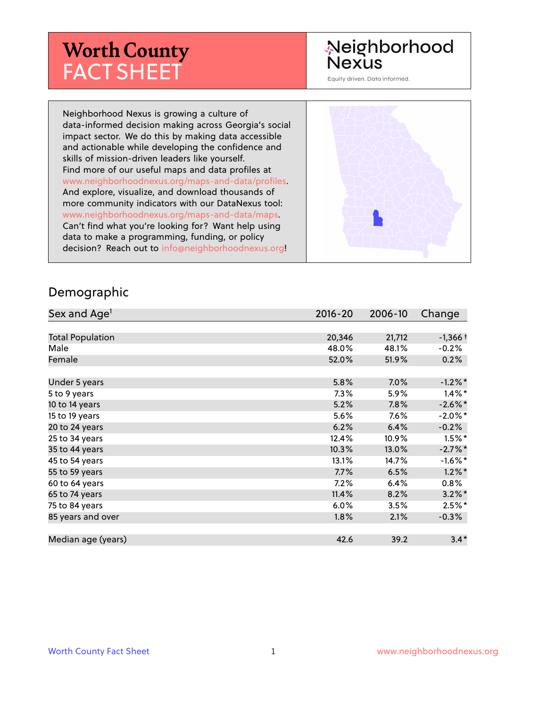## **Worth County** FACT SHEET

### Neighborhood Nexus

Equity driven. Data informed.

Neighborhood Nexus is growing a culture of data-informed decision making across Georgia's social impact sector. We do this by making data accessible and actionable while developing the confidence and skills of mission-driven leaders like yourself. Find more of our useful maps and data profiles at www.neighborhoodnexus.org/maps-and-data/profiles. And explore, visualize, and download thousands of more community indicators with our DataNexus tool: www.neighborhoodnexus.org/maps-and-data/maps. Can't find what you're looking for? Want help using data to make a programming, funding, or policy decision? Reach out to [info@neighborhoodnexus.org!](mailto:info@neighborhoodnexus.org)



#### Demographic

| Sex and Age <sup>1</sup> | $2016 - 20$ | 2006-10 | Change     |
|--------------------------|-------------|---------|------------|
|                          |             |         |            |
| <b>Total Population</b>  | 20,346      | 21,712  | $-1,366+$  |
| Male                     | 48.0%       | 48.1%   | $-0.2%$    |
| Female                   | 52.0%       | 51.9%   | 0.2%       |
|                          |             |         |            |
| Under 5 years            | 5.8%        | 7.0%    | $-1.2\%$ * |
| 5 to 9 years             | $7.3\%$     | 5.9%    | $1.4\%$ *  |
| 10 to 14 years           | 5.2%        | 7.8%    | $-2.6\%$ * |
| 15 to 19 years           | 5.6%        | 7.6%    | $-2.0\%$ * |
| 20 to 24 years           | 6.2%        | 6.4%    | $-0.2%$    |
| 25 to 34 years           | 12.4%       | 10.9%   | $1.5\%$ *  |
| 35 to 44 years           | 10.3%       | 13.0%   | $-2.7\%$ * |
| 45 to 54 years           | 13.1%       | 14.7%   | $-1.6\%$ * |
| 55 to 59 years           | 7.7%        | 6.5%    | $1.2\%$ *  |
| 60 to 64 years           | 7.2%        | 6.4%    | $0.8\%$    |
| 65 to 74 years           | 11.4%       | 8.2%    | $3.2\%$ *  |
| 75 to 84 years           | 6.0%        | 3.5%    | $2.5%$ *   |
| 85 years and over        | 1.8%        | 2.1%    | $-0.3\%$   |
|                          |             |         |            |
| Median age (years)       | 42.6        | 39.2    | $3.4*$     |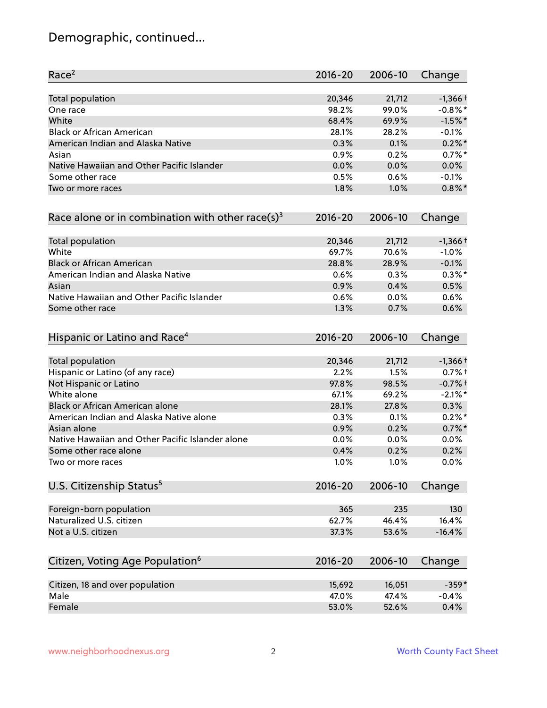### Demographic, continued...

| Race <sup>2</sup>                                   | $2016 - 20$ | 2006-10 | Change     |
|-----------------------------------------------------|-------------|---------|------------|
| <b>Total population</b>                             | 20,346      | 21,712  | $-1,366+$  |
| One race                                            | 98.2%       | 99.0%   | $-0.8\%$ * |
| White                                               | 68.4%       | 69.9%   | $-1.5%$ *  |
| <b>Black or African American</b>                    | 28.1%       | 28.2%   | $-0.1%$    |
| American Indian and Alaska Native                   | 0.3%        | 0.1%    | $0.2\%$ *  |
| Asian                                               | 0.9%        | 0.2%    | $0.7%$ *   |
| Native Hawaiian and Other Pacific Islander          | 0.0%        | 0.0%    | 0.0%       |
| Some other race                                     | 0.5%        | 0.6%    | $-0.1%$    |
| Two or more races                                   | 1.8%        | 1.0%    | $0.8\%$ *  |
| Race alone or in combination with other race(s) $3$ | $2016 - 20$ | 2006-10 | Change     |
| Total population                                    | 20,346      | 21,712  | $-1,366+$  |
| White                                               | 69.7%       | 70.6%   | $-1.0%$    |
| <b>Black or African American</b>                    | 28.8%       | 28.9%   | $-0.1%$    |
| American Indian and Alaska Native                   | 0.6%        | 0.3%    | $0.3\%$ *  |
| Asian                                               | 0.9%        | 0.4%    | 0.5%       |
| Native Hawaiian and Other Pacific Islander          | 0.6%        | 0.0%    | 0.6%       |
| Some other race                                     | 1.3%        | 0.7%    | 0.6%       |
| Hispanic or Latino and Race <sup>4</sup>            | $2016 - 20$ | 2006-10 | Change     |
| <b>Total population</b>                             | 20,346      | 21,712  | $-1,366+$  |
| Hispanic or Latino (of any race)                    | 2.2%        | 1.5%    | $0.7%$ †   |
| Not Hispanic or Latino                              | 97.8%       | 98.5%   | $-0.7%$ †  |
| White alone                                         | 67.1%       | 69.2%   | $-2.1\%$ * |
| Black or African American alone                     | 28.1%       | 27.8%   | 0.3%       |
| American Indian and Alaska Native alone             | 0.3%        | 0.1%    | $0.2%$ *   |
| Asian alone                                         | 0.9%        | 0.2%    | $0.7\%$ *  |
| Native Hawaiian and Other Pacific Islander alone    | 0.0%        | 0.0%    | 0.0%       |
| Some other race alone                               | 0.4%        | 0.2%    | 0.2%       |
| Two or more races                                   | 1.0%        | 1.0%    | 0.0%       |
| U.S. Citizenship Status <sup>5</sup>                | $2016 - 20$ | 2006-10 | Change     |
| Foreign-born population                             | 365         | 235     | 130        |
| Naturalized U.S. citizen                            | 62.7%       | 46.4%   | 16.4%      |
| Not a U.S. citizen                                  | 37.3%       | 53.6%   | $-16.4%$   |
|                                                     |             |         |            |
| Citizen, Voting Age Population <sup>6</sup>         | $2016 - 20$ | 2006-10 | Change     |
| Citizen, 18 and over population                     | 15,692      | 16,051  | $-359*$    |
| Male                                                | 47.0%       | 47.4%   | $-0.4%$    |
| Female                                              | 53.0%       | 52.6%   | 0.4%       |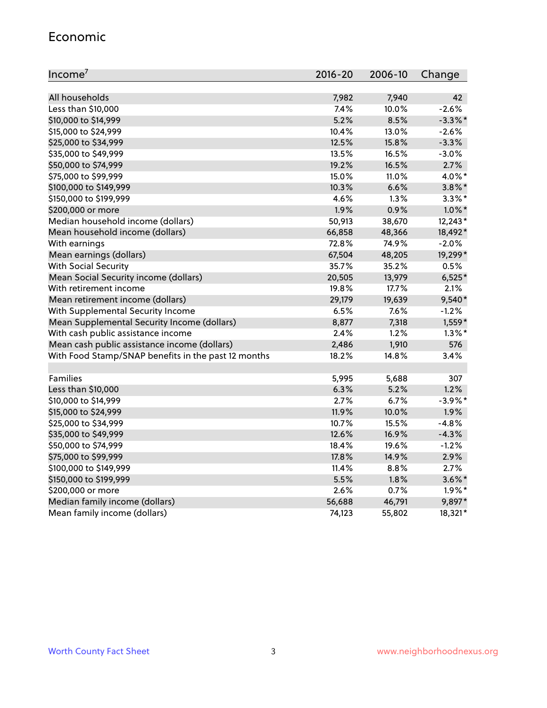#### Economic

| Income <sup>7</sup>                                 | $2016 - 20$ | 2006-10 | Change     |
|-----------------------------------------------------|-------------|---------|------------|
|                                                     |             |         |            |
| All households                                      | 7,982       | 7,940   | 42         |
| Less than \$10,000                                  | 7.4%        | 10.0%   | $-2.6%$    |
| \$10,000 to \$14,999                                | 5.2%        | 8.5%    | $-3.3\%$ * |
| \$15,000 to \$24,999                                | 10.4%       | 13.0%   | $-2.6%$    |
| \$25,000 to \$34,999                                | 12.5%       | 15.8%   | $-3.3%$    |
| \$35,000 to \$49,999                                | 13.5%       | 16.5%   | $-3.0%$    |
| \$50,000 to \$74,999                                | 19.2%       | 16.5%   | 2.7%       |
| \$75,000 to \$99,999                                | 15.0%       | 11.0%   | 4.0%*      |
| \$100,000 to \$149,999                              | 10.3%       | 6.6%    | $3.8\%$ *  |
| \$150,000 to \$199,999                              | 4.6%        | 1.3%    | $3.3\%$ *  |
| \$200,000 or more                                   | 1.9%        | 0.9%    | $1.0\%$ *  |
| Median household income (dollars)                   | 50,913      | 38,670  | 12,243*    |
| Mean household income (dollars)                     | 66,858      | 48,366  | 18,492*    |
| With earnings                                       | 72.8%       | 74.9%   | $-2.0%$    |
| Mean earnings (dollars)                             | 67,504      | 48,205  | 19,299*    |
| <b>With Social Security</b>                         | 35.7%       | 35.2%   | 0.5%       |
| Mean Social Security income (dollars)               | 20,505      | 13,979  | $6,525*$   |
| With retirement income                              | 19.8%       | 17.7%   | 2.1%       |
| Mean retirement income (dollars)                    | 29,179      | 19,639  | 9,540*     |
| With Supplemental Security Income                   | 6.5%        | $7.6\%$ | $-1.2%$    |
| Mean Supplemental Security Income (dollars)         | 8,877       | 7,318   | 1,559*     |
| With cash public assistance income                  | 2.4%        | 1.2%    | $1.3\%$ *  |
| Mean cash public assistance income (dollars)        | 2,486       | 1,910   | 576        |
| With Food Stamp/SNAP benefits in the past 12 months | 18.2%       | 14.8%   | 3.4%       |
|                                                     |             |         |            |
| Families                                            | 5,995       | 5,688   | 307        |
| Less than \$10,000                                  | 6.3%        | 5.2%    | 1.2%       |
| \$10,000 to \$14,999                                | 2.7%        | 6.7%    | $-3.9%$ *  |
| \$15,000 to \$24,999                                | 11.9%       | 10.0%   | 1.9%       |
| \$25,000 to \$34,999                                | 10.7%       | 15.5%   | $-4.8%$    |
| \$35,000 to \$49,999                                | 12.6%       | 16.9%   | $-4.3%$    |
| \$50,000 to \$74,999                                | 18.4%       | 19.6%   | $-1.2%$    |
| \$75,000 to \$99,999                                | 17.8%       | 14.9%   | 2.9%       |
| \$100,000 to \$149,999                              | 11.4%       | 8.8%    | 2.7%       |
| \$150,000 to \$199,999                              | 5.5%        | 1.8%    | $3.6\%$ *  |
| \$200,000 or more                                   | 2.6%        | 0.7%    | $1.9\%$ *  |
| Median family income (dollars)                      | 56,688      | 46,791  | 9,897*     |
| Mean family income (dollars)                        | 74,123      | 55,802  | 18,321*    |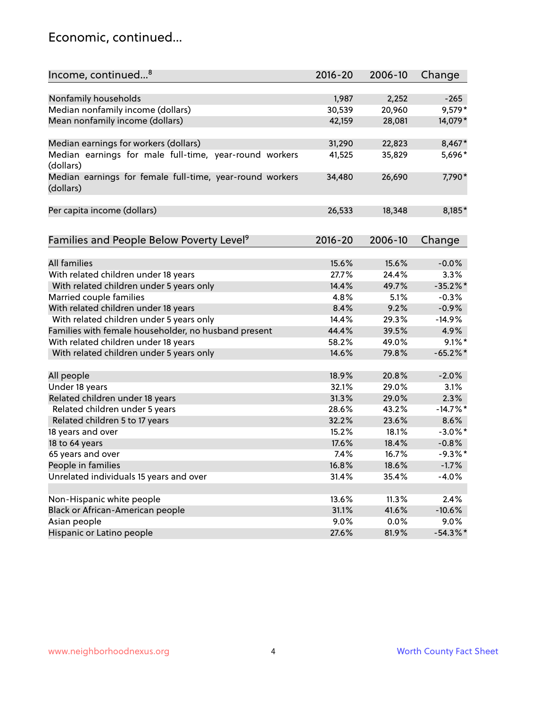#### Economic, continued...

| Income, continued <sup>8</sup>                           | $2016 - 20$ | 2006-10 | Change      |
|----------------------------------------------------------|-------------|---------|-------------|
|                                                          |             |         |             |
| Nonfamily households                                     | 1,987       | 2,252   | $-265$      |
| Median nonfamily income (dollars)                        | 30,539      | 20,960  | 9,579*      |
| Mean nonfamily income (dollars)                          | 42,159      | 28,081  | 14,079*     |
|                                                          |             |         |             |
| Median earnings for workers (dollars)                    | 31,290      | 22,823  | 8,467*      |
| Median earnings for male full-time, year-round workers   | 41,525      | 35,829  | 5,696*      |
| (dollars)                                                |             |         |             |
| Median earnings for female full-time, year-round workers | 34,480      | 26,690  | 7,790*      |
| (dollars)                                                |             |         |             |
|                                                          |             |         |             |
| Per capita income (dollars)                              | 26,533      | 18,348  | 8,185*      |
|                                                          |             |         |             |
| Families and People Below Poverty Level <sup>9</sup>     | $2016 - 20$ | 2006-10 | Change      |
|                                                          |             |         |             |
| <b>All families</b>                                      | 15.6%       | 15.6%   | $-0.0%$     |
| With related children under 18 years                     | 27.7%       | 24.4%   | 3.3%        |
| With related children under 5 years only                 | 14.4%       | 49.7%   | $-35.2%$    |
| Married couple families                                  | 4.8%        | 5.1%    | $-0.3%$     |
| With related children under 18 years                     | 8.4%        | 9.2%    | $-0.9%$     |
| With related children under 5 years only                 | 14.4%       | 29.3%   | $-14.9%$    |
| Families with female householder, no husband present     | 44.4%       | 39.5%   | 4.9%        |
| With related children under 18 years                     | 58.2%       | 49.0%   | $9.1\%$ *   |
| With related children under 5 years only                 | 14.6%       | 79.8%   | $-65.2%$    |
|                                                          |             |         |             |
| All people                                               | 18.9%       | 20.8%   | $-2.0%$     |
| Under 18 years                                           | 32.1%       | 29.0%   | 3.1%        |
| Related children under 18 years                          | 31.3%       | 29.0%   | 2.3%        |
| Related children under 5 years                           | 28.6%       | 43.2%   | $-14.7%$ *  |
| Related children 5 to 17 years                           | 32.2%       | 23.6%   | 8.6%        |
| 18 years and over                                        | 15.2%       | 18.1%   | $-3.0\%$ *  |
| 18 to 64 years                                           | 17.6%       | 18.4%   | $-0.8%$     |
| 65 years and over                                        | 7.4%        | 16.7%   | $-9.3%$ *   |
| People in families                                       | 16.8%       | 18.6%   | $-1.7%$     |
| Unrelated individuals 15 years and over                  | 31.4%       | 35.4%   | $-4.0%$     |
|                                                          |             |         |             |
| Non-Hispanic white people                                | 13.6%       | 11.3%   | 2.4%        |
| Black or African-American people                         | 31.1%       | 41.6%   | $-10.6%$    |
| Asian people                                             | 9.0%        | 0.0%    | $9.0\%$     |
| Hispanic or Latino people                                | 27.6%       | 81.9%   | $-54.3\%$ * |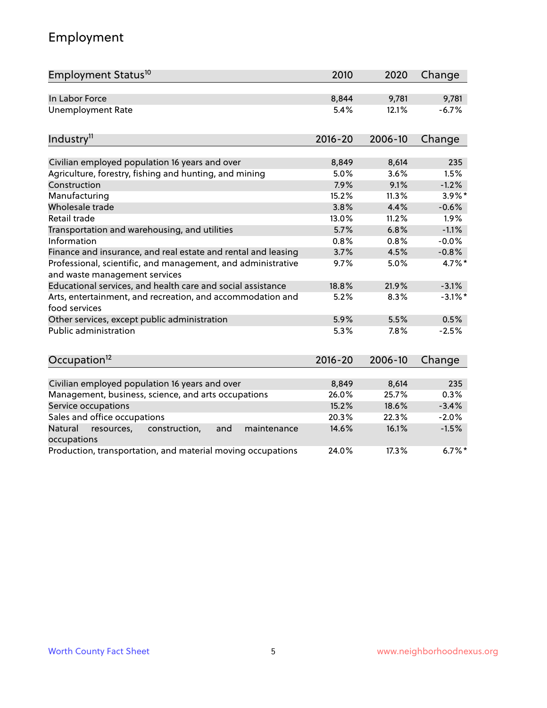### Employment

| Employment Status <sup>10</sup>                                                               | 2010        | 2020    | Change     |
|-----------------------------------------------------------------------------------------------|-------------|---------|------------|
| In Labor Force                                                                                | 8,844       | 9,781   | 9,781      |
| <b>Unemployment Rate</b>                                                                      | 5.4%        | 12.1%   | $-6.7%$    |
|                                                                                               |             |         |            |
| Industry <sup>11</sup>                                                                        | $2016 - 20$ | 2006-10 | Change     |
| Civilian employed population 16 years and over                                                | 8,849       | 8,614   | 235        |
| Agriculture, forestry, fishing and hunting, and mining                                        | 5.0%        | 3.6%    | 1.5%       |
| Construction                                                                                  | 7.9%        | 9.1%    | $-1.2%$    |
| Manufacturing                                                                                 | 15.2%       | 11.3%   | $3.9\%$ *  |
| Wholesale trade                                                                               | 3.8%        | 4.4%    | $-0.6%$    |
| Retail trade                                                                                  | 13.0%       | 11.2%   | 1.9%       |
| Transportation and warehousing, and utilities                                                 | 5.7%        | 6.8%    | $-1.1%$    |
| Information                                                                                   | 0.8%        | 0.8%    | $-0.0%$    |
| Finance and insurance, and real estate and rental and leasing                                 | 3.7%        | 4.5%    | $-0.8%$    |
| Professional, scientific, and management, and administrative<br>and waste management services | 9.7%        | 5.0%    | 4.7%*      |
| Educational services, and health care and social assistance                                   | 18.8%       | 21.9%   | $-3.1%$    |
| Arts, entertainment, and recreation, and accommodation and<br>food services                   | 5.2%        | 8.3%    | $-3.1\%$ * |
| Other services, except public administration                                                  | 5.9%        | 5.5%    | 0.5%       |
| <b>Public administration</b>                                                                  | 5.3%        | 7.8%    | $-2.5%$    |
|                                                                                               |             |         |            |
| Occupation <sup>12</sup>                                                                      | $2016 - 20$ | 2006-10 | Change     |
|                                                                                               |             |         |            |
| Civilian employed population 16 years and over                                                | 8,849       | 8,614   | 235        |
| Management, business, science, and arts occupations                                           | 26.0%       | 25.7%   | 0.3%       |
| Service occupations                                                                           | 15.2%       | 18.6%   | $-3.4%$    |
| Sales and office occupations                                                                  | 20.3%       | 22.3%   | $-2.0%$    |
| Natural<br>resources,<br>construction,<br>and<br>maintenance<br>occupations                   | 14.6%       | 16.1%   | $-1.5%$    |
| Production, transportation, and material moving occupations                                   | 24.0%       | 17.3%   | $6.7\%$ *  |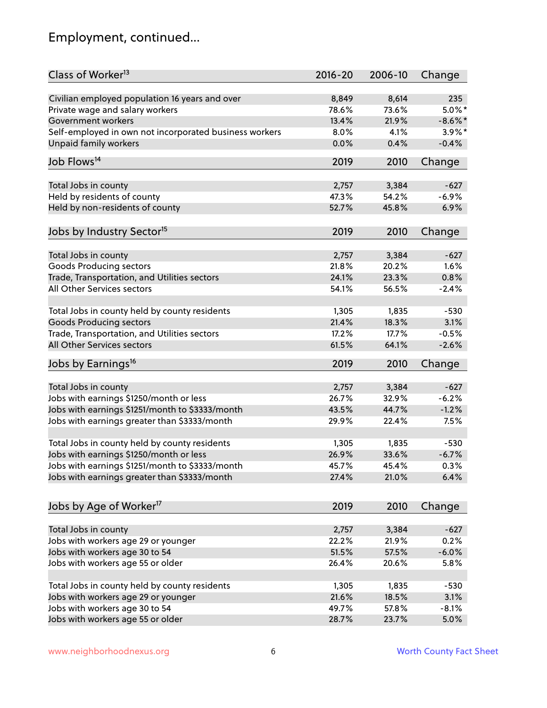### Employment, continued...

| Class of Worker <sup>13</sup>                               | $2016 - 20$ | 2006-10 | Change     |
|-------------------------------------------------------------|-------------|---------|------------|
| Civilian employed population 16 years and over              | 8,849       | 8,614   | 235        |
| Private wage and salary workers                             | 78.6%       | 73.6%   | $5.0\%$ *  |
| Government workers                                          | 13.4%       | 21.9%   | $-8.6\%$ * |
| Self-employed in own not incorporated business workers      | 8.0%        | 4.1%    | $3.9\%$ *  |
| <b>Unpaid family workers</b>                                | 0.0%        | 0.4%    | $-0.4%$    |
|                                                             |             |         |            |
| Job Flows <sup>14</sup>                                     | 2019        | 2010    | Change     |
| Total Jobs in county                                        | 2,757       | 3,384   | $-627$     |
| Held by residents of county                                 | 47.3%       | 54.2%   | $-6.9%$    |
| Held by non-residents of county                             | 52.7%       | 45.8%   | 6.9%       |
|                                                             |             |         |            |
| Jobs by Industry Sector <sup>15</sup>                       | 2019        | 2010    | Change     |
| Total Jobs in county                                        | 2,757       | 3,384   | $-627$     |
| Goods Producing sectors                                     | 21.8%       | 20.2%   | 1.6%       |
| Trade, Transportation, and Utilities sectors                | 24.1%       | 23.3%   | 0.8%       |
| All Other Services sectors                                  | 54.1%       | 56.5%   | $-2.4%$    |
|                                                             |             |         |            |
| Total Jobs in county held by county residents               | 1,305       | 1,835   | $-530$     |
| <b>Goods Producing sectors</b>                              | 21.4%       | 18.3%   | 3.1%       |
| Trade, Transportation, and Utilities sectors                | 17.2%       | 17.7%   | $-0.5%$    |
| All Other Services sectors                                  | 61.5%       | 64.1%   | $-2.6%$    |
| Jobs by Earnings <sup>16</sup>                              | 2019        | 2010    | Change     |
| Total Jobs in county                                        | 2,757       | 3,384   | $-627$     |
| Jobs with earnings \$1250/month or less                     | 26.7%       | 32.9%   | $-6.2%$    |
|                                                             | 43.5%       | 44.7%   | $-1.2%$    |
| Jobs with earnings \$1251/month to \$3333/month             |             |         |            |
| Jobs with earnings greater than \$3333/month                | 29.9%       | 22.4%   | 7.5%       |
| Total Jobs in county held by county residents               | 1,305       | 1,835   | $-530$     |
| Jobs with earnings \$1250/month or less                     | 26.9%       | 33.6%   | $-6.7%$    |
| Jobs with earnings \$1251/month to \$3333/month             | 45.7%       | 45.4%   | $0.3\%$    |
| Jobs with earnings greater than \$3333/month                | 27.4%       | 21.0%   | 6.4%       |
|                                                             |             |         |            |
| Jobs by Age of Worker <sup>17</sup>                         | 2019        | 2010    | Change     |
|                                                             | 2,757       | 3,384   | $-627$     |
| Total Jobs in county<br>Jobs with workers age 29 or younger | 22.2%       | 21.9%   | 0.2%       |
| Jobs with workers age 30 to 54                              | 51.5%       | 57.5%   | $-6.0%$    |
| Jobs with workers age 55 or older                           | 26.4%       | 20.6%   | 5.8%       |
|                                                             |             |         |            |
| Total Jobs in county held by county residents               | 1,305       | 1,835   | $-530$     |
| Jobs with workers age 29 or younger                         | 21.6%       | 18.5%   | 3.1%       |
| Jobs with workers age 30 to 54                              | 49.7%       | 57.8%   | $-8.1%$    |
| Jobs with workers age 55 or older                           | 28.7%       | 23.7%   | 5.0%       |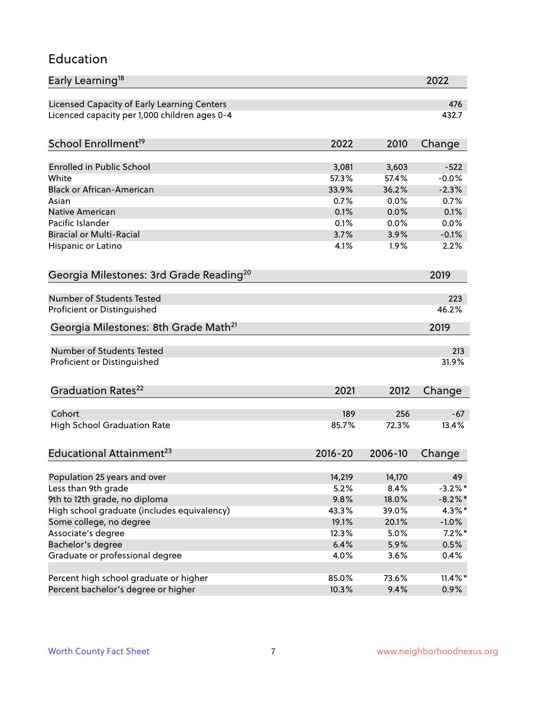#### Education

| Early Learning <sup>18</sup>                        |             |         | 2022       |
|-----------------------------------------------------|-------------|---------|------------|
| Licensed Capacity of Early Learning Centers         |             |         | 476        |
| Licenced capacity per 1,000 children ages 0-4       |             |         | 432.7      |
| School Enrollment <sup>19</sup>                     | 2022        | 2010    | Change     |
|                                                     |             |         |            |
| <b>Enrolled in Public School</b>                    | 3,081       | 3,603   | $-522$     |
| White                                               | 57.3%       | 57.4%   | $-0.0%$    |
| <b>Black or African-American</b>                    | 33.9%       | 36.2%   | $-2.3%$    |
| Asian                                               | 0.7%        | 0.0%    | 0.7%       |
| Native American                                     | 0.1%        | 0.0%    | 0.1%       |
| Pacific Islander                                    | 0.1%        | 0.0%    | 0.0%       |
| <b>Biracial or Multi-Racial</b>                     | 3.7%        | 3.9%    | $-0.1%$    |
| Hispanic or Latino                                  | 4.1%        | 1.9%    | 2.2%       |
| Georgia Milestones: 3rd Grade Reading <sup>20</sup> |             |         | 2019       |
|                                                     |             |         |            |
| <b>Number of Students Tested</b>                    |             |         | 223        |
| Proficient or Distinguished                         |             |         | 46.2%      |
| Georgia Milestones: 8th Grade Math <sup>21</sup>    |             |         | 2019       |
| <b>Number of Students Tested</b>                    |             |         | 213        |
| Proficient or Distinguished                         |             |         | 31.9%      |
|                                                     |             |         |            |
| Graduation Rates <sup>22</sup>                      | 2021        | 2012    | Change     |
| Cohort                                              | 189         | 256     | $-67$      |
| <b>High School Graduation Rate</b>                  | 85.7%       | 72.3%   | 13.4%      |
|                                                     |             |         |            |
| Educational Attainment <sup>23</sup>                | $2016 - 20$ | 2006-10 | Change     |
| Population 25 years and over                        | 14,219      | 14,170  | 49         |
| Less than 9th grade                                 | 5.2%        | 8.4%    | $-3.2\%$ * |
| 9th to 12th grade, no diploma                       | 9.8%        | 18.0%   | $-8.2\%$ * |
| High school graduate (includes equivalency)         | 43.3%       | 39.0%   | $4.3\%$ *  |
| Some college, no degree                             | 19.1%       | 20.1%   |            |
|                                                     |             |         | $-1.0\%$   |
| Associate's degree                                  | 12.3%       | 5.0%    | $7.2\%$ *  |
| Bachelor's degree                                   | 6.4%        | 5.9%    | 0.5%       |
| Graduate or professional degree                     | 4.0%        | 3.6%    | 0.4%       |
| Percent high school graduate or higher              | 85.0%       | 73.6%   | $11.4\%$ * |
| Percent bachelor's degree or higher                 | 10.3%       | 9.4%    | 0.9%       |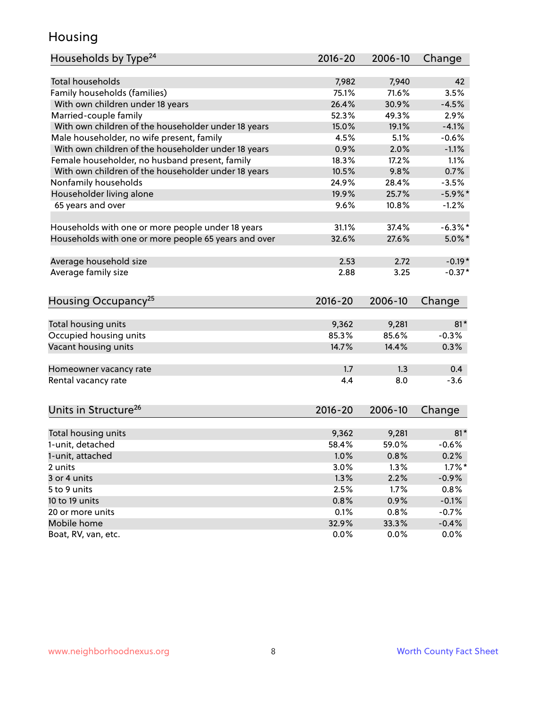#### Housing

| Households by Type <sup>24</sup>                     | $2016 - 20$   | 2006-10       | Change             |
|------------------------------------------------------|---------------|---------------|--------------------|
|                                                      |               |               |                    |
| <b>Total households</b>                              | 7,982         | 7,940         | 42                 |
| Family households (families)                         | 75.1%         | 71.6%         | 3.5%               |
| With own children under 18 years                     | 26.4%         | 30.9%         | $-4.5%$            |
| Married-couple family                                | 52.3%         | 49.3%         | 2.9%               |
| With own children of the householder under 18 years  | 15.0%         | 19.1%         | $-4.1%$            |
| Male householder, no wife present, family            | 4.5%          | 5.1%          | $-0.6%$            |
| With own children of the householder under 18 years  | 0.9%          | 2.0%          | $-1.1%$            |
| Female householder, no husband present, family       | 18.3%         | 17.2%         | 1.1%               |
| With own children of the householder under 18 years  | 10.5%         | 9.8%          | 0.7%               |
| Nonfamily households                                 | 24.9%         | 28.4%         | $-3.5%$            |
| Householder living alone                             | 19.9%         | 25.7%         | $-5.9\%$ *         |
| 65 years and over                                    | 9.6%          | 10.8%         | $-1.2%$            |
| Households with one or more people under 18 years    | 31.1%         | 37.4%         | $-6.3\%$ *         |
| Households with one or more people 65 years and over | 32.6%         | 27.6%         | $5.0\%$ *          |
|                                                      |               |               |                    |
| Average household size                               | 2.53          | 2.72          | $-0.19*$           |
| Average family size                                  | 2.88          | 3.25          | $-0.37*$           |
| Housing Occupancy <sup>25</sup>                      | $2016 - 20$   | 2006-10       | Change             |
|                                                      |               |               |                    |
| Total housing units                                  | 9,362         | 9,281         | $81*$              |
| Occupied housing units                               | 85.3%         | 85.6%         | $-0.3%$            |
| Vacant housing units                                 | 14.7%         | 14.4%         | 0.3%               |
| Homeowner vacancy rate                               | 1.7           | 1.3           | 0.4                |
| Rental vacancy rate                                  | 4.4           | 8.0           | $-3.6$             |
|                                                      |               |               |                    |
| Units in Structure <sup>26</sup>                     | $2016 - 20$   | 2006-10       | Change             |
| Total housing units                                  | 9,362         | 9,281         | $81*$              |
| 1-unit, detached                                     | 58.4%         | 59.0%         | $-0.6%$            |
| 1-unit, attached                                     | 1.0%          | 0.8%          | 0.2%               |
| 2 units                                              | 3.0%          | 1.3%          | $1.7\%$ *          |
| 3 or 4 units                                         | 1.3%          | 2.2%          | $-0.9%$            |
| 5 to 9 units                                         | 2.5%          | 1.7%          | 0.8%               |
| 10 to 19 units                                       | 0.8%          | 0.9%          | $-0.1%$            |
| 20 or more units                                     |               |               |                    |
| Mobile home                                          | 0.1%<br>32.9% | 0.8%<br>33.3% | $-0.7%$<br>$-0.4%$ |
| Boat, RV, van, etc.                                  | 0.0%          | 0.0%          | 0.0%               |
|                                                      |               |               |                    |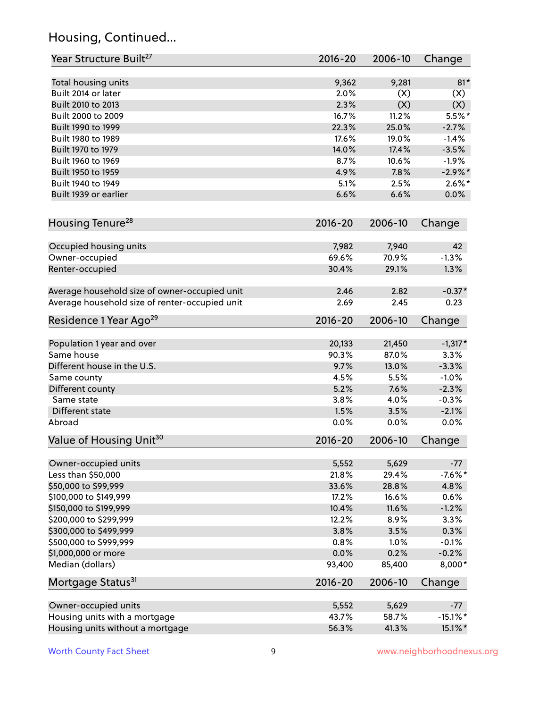### Housing, Continued...

| Year Structure Built <sup>27</sup>             | 2016-20     | 2006-10 | Change      |
|------------------------------------------------|-------------|---------|-------------|
| Total housing units                            | 9,362       | 9,281   | $81*$       |
| Built 2014 or later                            | 2.0%        | (X)     | (X)         |
| Built 2010 to 2013                             | 2.3%        | (X)     | (X)         |
| Built 2000 to 2009                             | 16.7%       | 11.2%   | $5.5%$ *    |
| Built 1990 to 1999                             | 22.3%       | 25.0%   | $-2.7%$     |
| Built 1980 to 1989                             | 17.6%       | 19.0%   | $-1.4%$     |
| Built 1970 to 1979                             | 14.0%       | 17.4%   | $-3.5%$     |
| Built 1960 to 1969                             | 8.7%        | 10.6%   | $-1.9%$     |
| Built 1950 to 1959                             | 4.9%        | 7.8%    | $-2.9%$ *   |
| Built 1940 to 1949                             | 5.1%        | 2.5%    | $2.6\%$ *   |
| Built 1939 or earlier                          | 6.6%        | 6.6%    | 0.0%        |
| Housing Tenure <sup>28</sup>                   | $2016 - 20$ | 2006-10 | Change      |
| Occupied housing units                         | 7,982       | 7,940   | 42          |
| Owner-occupied                                 | 69.6%       | 70.9%   | $-1.3%$     |
| Renter-occupied                                | 30.4%       | 29.1%   | 1.3%        |
| Average household size of owner-occupied unit  | 2.46        | 2.82    | $-0.37*$    |
| Average household size of renter-occupied unit | 2.69        | 2.45    | 0.23        |
| Residence 1 Year Ago <sup>29</sup>             | 2016-20     | 2006-10 | Change      |
| Population 1 year and over                     | 20,133      | 21,450  | $-1,317*$   |
| Same house                                     | 90.3%       | 87.0%   | 3.3%        |
| Different house in the U.S.                    | 9.7%        | 13.0%   | $-3.3%$     |
| Same county                                    | 4.5%        | 5.5%    | $-1.0%$     |
| Different county                               | 5.2%        | 7.6%    | $-2.3%$     |
| Same state                                     | 3.8%        | 4.0%    | $-0.3%$     |
| Different state                                | 1.5%        | 3.5%    | $-2.1%$     |
| Abroad                                         | 0.0%        | 0.0%    | 0.0%        |
| Value of Housing Unit <sup>30</sup>            | $2016 - 20$ | 2006-10 | Change      |
| Owner-occupied units                           | 5,552       | 5,629   | $-77$       |
| Less than \$50,000                             | 21.8%       | 29.4%   | $-7.6%$ *   |
| \$50,000 to \$99,999                           | 33.6%       | 28.8%   | 4.8%        |
| \$100,000 to \$149,999                         | 17.2%       | 16.6%   | 0.6%        |
| \$150,000 to \$199,999                         | 10.4%       | 11.6%   | $-1.2%$     |
| \$200,000 to \$299,999                         | 12.2%       | 8.9%    | 3.3%        |
| \$300,000 to \$499,999                         | 3.8%        | 3.5%    | 0.3%        |
| \$500,000 to \$999,999                         | 0.8%        | 1.0%    | $-0.1%$     |
| \$1,000,000 or more                            | 0.0%        | 0.2%    | $-0.2%$     |
| Median (dollars)                               | 93,400      | 85,400  | 8,000*      |
| Mortgage Status <sup>31</sup>                  | $2016 - 20$ | 2006-10 | Change      |
| Owner-occupied units                           | 5,552       | 5,629   | $-77$       |
| Housing units with a mortgage                  | 43.7%       | 58.7%   | $-15.1\%$ * |
| Housing units without a mortgage               | 56.3%       | 41.3%   | 15.1%*      |
|                                                |             |         |             |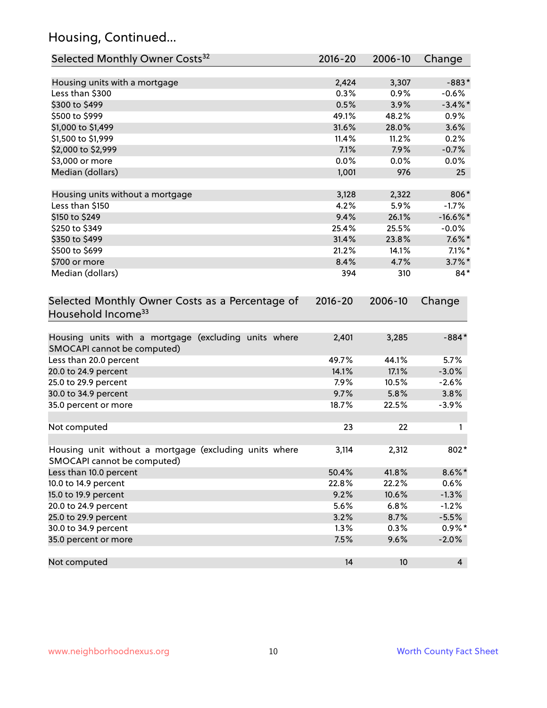### Housing, Continued...

| Selected Monthly Owner Costs <sup>32</sup>                                            | 2016-20     | 2006-10 | Change      |
|---------------------------------------------------------------------------------------|-------------|---------|-------------|
| Housing units with a mortgage                                                         | 2,424       | 3,307   | $-883*$     |
| Less than \$300                                                                       | 0.3%        | 0.9%    | $-0.6%$     |
| \$300 to \$499                                                                        | 0.5%        | 3.9%    | $-3.4\%$ *  |
| \$500 to \$999                                                                        | 49.1%       | 48.2%   | 0.9%        |
| \$1,000 to \$1,499                                                                    | 31.6%       | 28.0%   | 3.6%        |
| \$1,500 to \$1,999                                                                    | 11.4%       | 11.2%   | 0.2%        |
| \$2,000 to \$2,999                                                                    | 7.1%        | 7.9%    | $-0.7%$     |
| \$3,000 or more                                                                       | 0.0%        | 0.0%    | $0.0\%$     |
| Median (dollars)                                                                      | 1,001       | 976     | 25          |
| Housing units without a mortgage                                                      | 3,128       | 2,322   | 806*        |
| Less than \$150                                                                       | 4.2%        | 5.9%    | $-1.7%$     |
| \$150 to \$249                                                                        | 9.4%        | 26.1%   | $-16.6\%$ * |
| \$250 to \$349                                                                        | 25.4%       | 25.5%   | $-0.0%$     |
| \$350 to \$499                                                                        | 31.4%       | 23.8%   | $7.6\%$ *   |
| \$500 to \$699                                                                        | 21.2%       | 14.1%   | $7.1\%$ *   |
| \$700 or more                                                                         | 8.4%        | 4.7%    | $3.7\%$ *   |
| Median (dollars)                                                                      | 394         | 310     | $84*$       |
| Selected Monthly Owner Costs as a Percentage of<br>Household Income <sup>33</sup>     | $2016 - 20$ | 2006-10 | Change      |
| Housing units with a mortgage (excluding units where<br>SMOCAPI cannot be computed)   | 2,401       | 3,285   | $-884*$     |
| Less than 20.0 percent                                                                | 49.7%       | 44.1%   | 5.7%        |
| 20.0 to 24.9 percent                                                                  | 14.1%       | 17.1%   | $-3.0%$     |
| 25.0 to 29.9 percent                                                                  | 7.9%        | 10.5%   | $-2.6%$     |
| 30.0 to 34.9 percent                                                                  | 9.7%        | 5.8%    | 3.8%        |
| 35.0 percent or more                                                                  | 18.7%       | 22.5%   | $-3.9%$     |
| Not computed                                                                          | 23          | 22      |             |
| Housing unit without a mortgage (excluding units where<br>SMOCAPI cannot be computed) | 3,114       | 2,312   | 802*        |
| Less than 10.0 percent                                                                | 50.4%       | 41.8%   | $8.6\%$ *   |
| 10.0 to 14.9 percent                                                                  | 22.8%       | 22.2%   | 0.6%        |
| 15.0 to 19.9 percent                                                                  | 9.2%        | 10.6%   | $-1.3%$     |
| 20.0 to 24.9 percent                                                                  | 5.6%        | 6.8%    | $-1.2%$     |
| 25.0 to 29.9 percent                                                                  | 3.2%        | 8.7%    | $-5.5%$     |
| 30.0 to 34.9 percent                                                                  | 1.3%        | 0.3%    | $0.9\%*$    |
| 35.0 percent or more                                                                  | 7.5%        | 9.6%    | $-2.0%$     |
| Not computed                                                                          | 14          | 10      | 4           |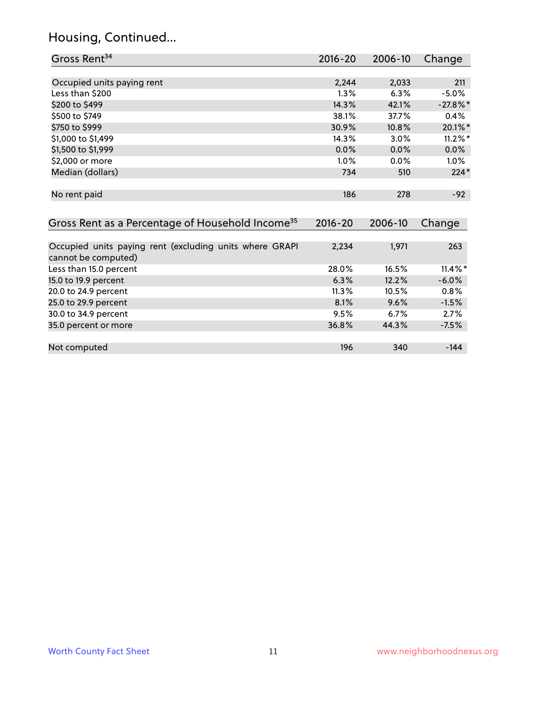### Housing, Continued...

| Gross Rent <sup>34</sup>                                     | 2016-20     | $2006 - 10$ | Change     |
|--------------------------------------------------------------|-------------|-------------|------------|
|                                                              |             |             |            |
| Occupied units paying rent                                   | 2,244       | 2,033       | 211        |
| Less than \$200                                              | 1.3%        | 6.3%        | $-5.0%$    |
| \$200 to \$499                                               | 14.3%       | 42.1%       | $-27.8%$ * |
| \$500 to \$749                                               | 38.1%       | 37.7%       | 0.4%       |
| \$750 to \$999                                               | 30.9%       | 10.8%       | 20.1%*     |
| \$1,000 to \$1,499                                           | 14.3%       | 3.0%        | $11.2\%$ * |
| \$1,500 to \$1,999                                           | $0.0\%$     | 0.0%        | 0.0%       |
| \$2,000 or more                                              | 1.0%        | 0.0%        | $1.0\%$    |
| Median (dollars)                                             | 734         | 510         | $224*$     |
| No rent paid                                                 | 186         | 278         | $-92$      |
| Gross Rent as a Percentage of Household Income <sup>35</sup> | $2016 - 20$ | 2006-10     | Change     |
| Occupied units paying rent (excluding units where GRAPI      | 2,234       | 1,971       | 263        |
| cannot be computed)                                          |             |             |            |
| Less than 15.0 percent                                       | 28.0%       | 16.5%       | $11.4\%$ * |
| 15.0 to 19.9 percent                                         | 6.3%        | 12.2%       | $-6.0%$    |
| 20.0 to 24.9 percent                                         | 11.3%       | 10.5%       | 0.8%       |
| 25.0 to 29.9 percent                                         | 8.1%        | 9.6%        | $-1.5%$    |
| 30.0 to 34.9 percent                                         | 9.5%        | 6.7%        | 2.7%       |
| 35.0 percent or more                                         | 36.8%       | 44.3%       | $-7.5%$    |
| Not computed                                                 | 196         | 340         | $-144$     |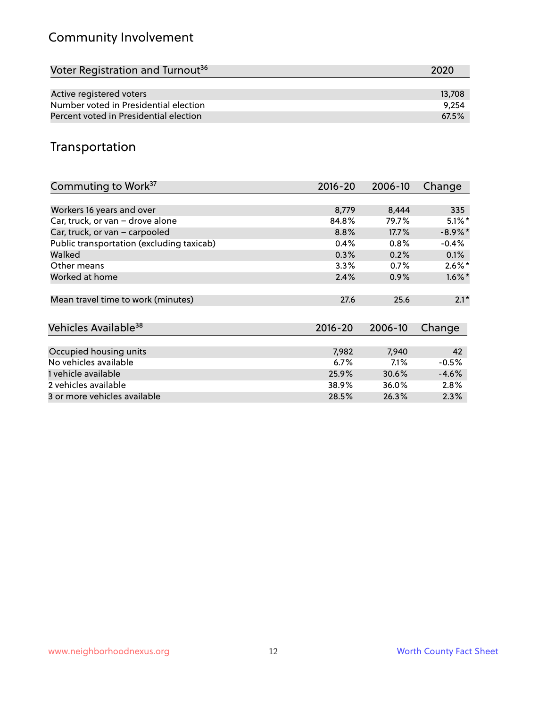### Community Involvement

| 2020   |
|--------|
|        |
| 13,708 |
| 9.254  |
| 67.5%  |
|        |

#### Transportation

| Commuting to Work <sup>37</sup>           | 2016-20     | 2006-10 | Change     |
|-------------------------------------------|-------------|---------|------------|
|                                           |             |         |            |
| Workers 16 years and over                 | 8,779       | 8,444   | 335        |
| Car, truck, or van - drove alone          | 84.8%       | 79.7%   | $5.1\%$ *  |
| Car, truck, or van - carpooled            | 8.8%        | 17.7%   | $-8.9\%$ * |
| Public transportation (excluding taxicab) | 0.4%        | 0.8%    | $-0.4%$    |
| Walked                                    | 0.3%        | 0.2%    | $0.1\%$    |
| Other means                               | 3.3%        | 0.7%    | $2.6\%$ *  |
| Worked at home                            | 2.4%        | 0.9%    | $1.6\%$ *  |
| Mean travel time to work (minutes)        | 27.6        | 25.6    | $2.1*$     |
| Vehicles Available <sup>38</sup>          | $2016 - 20$ | 2006-10 | Change     |
| Occupied housing units                    | 7,982       | 7,940   | 42         |
| No vehicles available                     | 6.7%        | 7.1%    | $-0.5%$    |
| 1 vehicle available                       | 25.9%       | 30.6%   | $-4.6%$    |
| 2 vehicles available                      | 38.9%       | 36.0%   | 2.8%       |
| 3 or more vehicles available              | 28.5%       | 26.3%   | 2.3%       |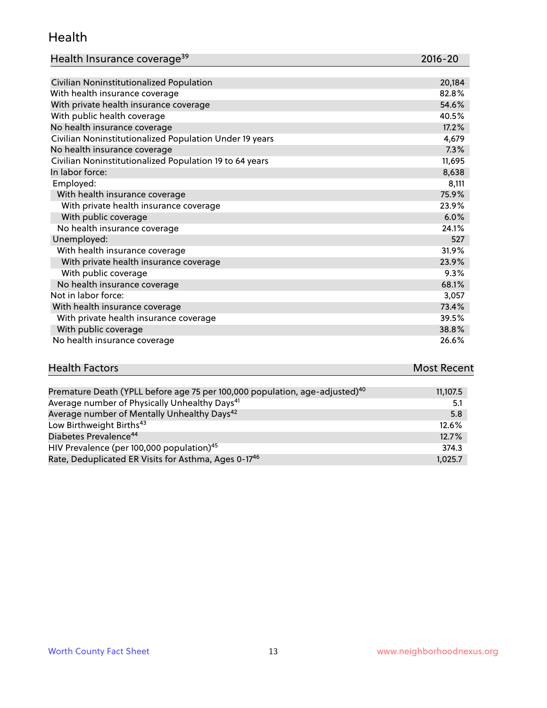#### Health

| Health Insurance coverage <sup>39</sup> | 2016-20 |
|-----------------------------------------|---------|
|-----------------------------------------|---------|

| Civilian Noninstitutionalized Population                | 20,184 |
|---------------------------------------------------------|--------|
| With health insurance coverage                          | 82.8%  |
| With private health insurance coverage                  | 54.6%  |
| With public health coverage                             | 40.5%  |
| No health insurance coverage                            | 17.2%  |
| Civilian Noninstitutionalized Population Under 19 years | 4,679  |
| No health insurance coverage                            | 7.3%   |
| Civilian Noninstitutionalized Population 19 to 64 years | 11,695 |
| In labor force:                                         | 8,638  |
| Employed:                                               | 8,111  |
| With health insurance coverage                          | 75.9%  |
| With private health insurance coverage                  | 23.9%  |
| With public coverage                                    | 6.0%   |
| No health insurance coverage                            | 24.1%  |
| Unemployed:                                             | 527    |
| With health insurance coverage                          | 31.9%  |
| With private health insurance coverage                  | 23.9%  |
| With public coverage                                    | 9.3%   |
| No health insurance coverage                            | 68.1%  |
| Not in labor force:                                     | 3,057  |
| With health insurance coverage                          | 73.4%  |
| With private health insurance coverage                  | 39.5%  |
| With public coverage                                    | 38.8%  |
| No health insurance coverage                            | 26.6%  |

# **Health Factors Most Recent**

| Premature Death (YPLL before age 75 per 100,000 population, age-adjusted) <sup>40</sup> | 11,107.5 |
|-----------------------------------------------------------------------------------------|----------|
| Average number of Physically Unhealthy Days <sup>41</sup>                               | 5.1      |
| Average number of Mentally Unhealthy Days <sup>42</sup>                                 | 5.8      |
| Low Birthweight Births <sup>43</sup>                                                    | 12.6%    |
| Diabetes Prevalence <sup>44</sup>                                                       | 12.7%    |
| HIV Prevalence (per 100,000 population) <sup>45</sup>                                   | 374.3    |
| Rate, Deduplicated ER Visits for Asthma, Ages 0-17 <sup>46</sup>                        | 1,025.7  |